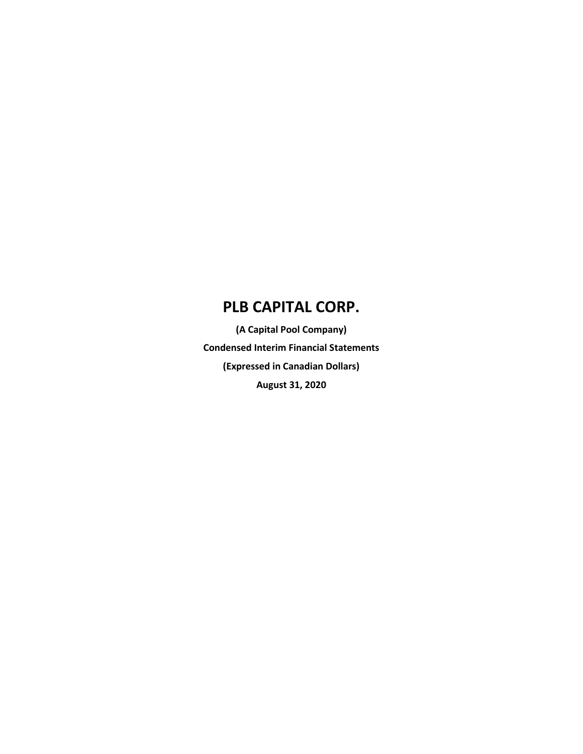**(A Capital Pool Company) Condensed Interim Financial Statements (Expressed in Canadian Dollars) August 31, 2020**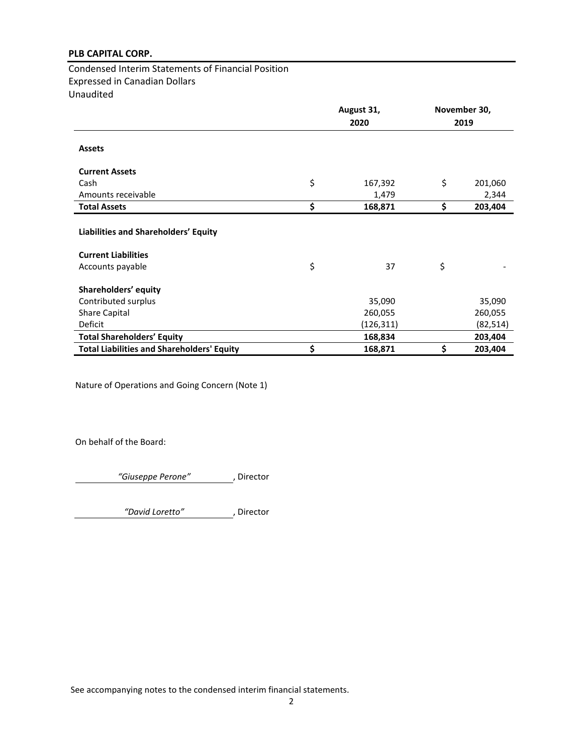Condensed Interim Statements of Financial Position Expressed in Canadian Dollars Unaudited

|                                                                    | August 31, |           | November 30, |           |  |
|--------------------------------------------------------------------|------------|-----------|--------------|-----------|--|
|                                                                    |            | 2020      |              | 2019      |  |
| <b>Assets</b>                                                      |            |           |              |           |  |
| <b>Current Assets</b>                                              |            |           |              |           |  |
| Cash                                                               | \$         | 167,392   | \$           | 201,060   |  |
| Amounts receivable                                                 |            | 1,479     |              | 2,344     |  |
| <b>Total Assets</b>                                                | \$         | 168,871   | \$           | 203,404   |  |
| Liabilities and Shareholders' Equity<br><b>Current Liabilities</b> |            |           |              |           |  |
| Accounts payable                                                   | \$         | 37        | \$           |           |  |
| Shareholders' equity                                               |            |           |              |           |  |
| Contributed surplus                                                |            | 35,090    |              | 35,090    |  |
| <b>Share Capital</b>                                               |            | 260,055   |              | 260,055   |  |
| Deficit                                                            |            | (126,311) |              | (82, 514) |  |
| <b>Total Shareholders' Equity</b>                                  |            | 168,834   |              | 203,404   |  |
| <b>Total Liabilities and Shareholders' Equity</b>                  | \$         | 168,871   | \$           | 203,404   |  |

Nature of Operations and Going Concern (Note 1)

On behalf of the Board:

*"Giuseppe Perone"* , Director

*"David Loretto"* , Director

See accompanying notes to the condensed interim financial statements.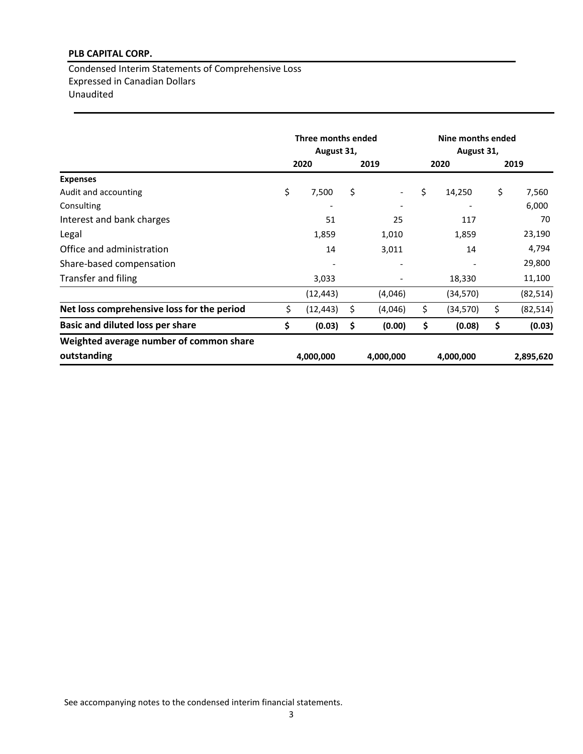Condensed Interim Statements of Comprehensive Loss Expressed in Canadian Dollars Unaudited

|                                            | Three months ended<br>August 31, |           |    |           | Nine months ended<br>August 31, |           |      |           |
|--------------------------------------------|----------------------------------|-----------|----|-----------|---------------------------------|-----------|------|-----------|
|                                            | 2020<br>2019                     |           |    |           | 2020                            |           | 2019 |           |
| <b>Expenses</b>                            |                                  |           |    |           |                                 |           |      |           |
| Audit and accounting                       | \$                               | 7,500     | \$ |           | \$                              | 14,250    | \$   | 7,560     |
| Consulting                                 |                                  |           |    |           |                                 |           |      | 6,000     |
| Interest and bank charges                  |                                  | 51        |    | 25        |                                 | 117       |      | 70        |
| Legal                                      |                                  | 1,859     |    | 1,010     |                                 | 1,859     |      | 23,190    |
| Office and administration                  |                                  | 14        |    | 3,011     |                                 | 14        |      | 4,794     |
| Share-based compensation                   |                                  |           |    |           |                                 |           |      | 29,800    |
| Transfer and filing                        |                                  | 3,033     |    |           |                                 | 18,330    |      | 11,100    |
|                                            |                                  | (12, 443) |    | (4,046)   |                                 | (34,570)  |      | (82, 514) |
| Net loss comprehensive loss for the period | \$                               | (12, 443) | \$ | (4,046)   | \$                              | (34, 570) | \$   | (82, 514) |
| <b>Basic and diluted loss per share</b>    | \$                               | (0.03)    | \$ | (0.00)    | \$                              | (0.08)    | \$   | (0.03)    |
| Weighted average number of common share    |                                  |           |    |           |                                 |           |      |           |
| outstanding                                |                                  | 4,000,000 |    | 4,000,000 |                                 | 4,000,000 |      | 2,895,620 |

See accompanying notes to the condensed interim financial statements.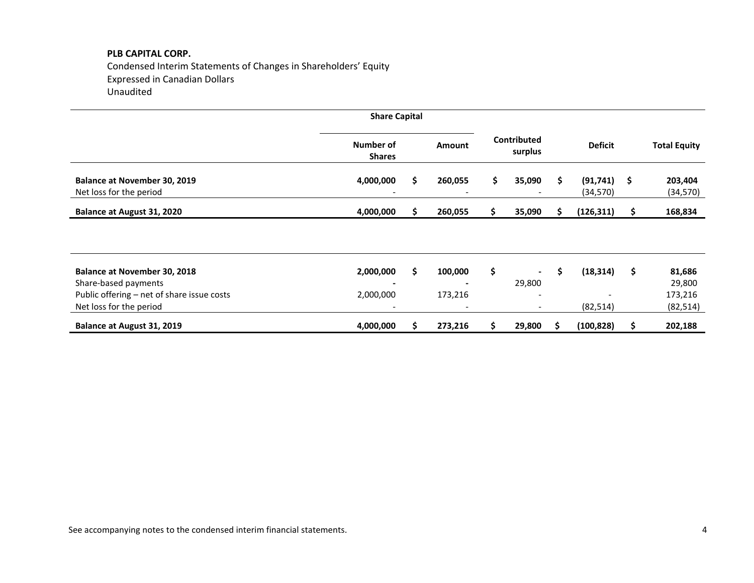Condensed Interim Statements of Changes in Shareholders' Equity Expressed in Canadian Dollars Unaudited

|                                                                       | <b>Share Capital</b>       |    |               |    |                                                      |    |                        |                     |                      |
|-----------------------------------------------------------------------|----------------------------|----|---------------|----|------------------------------------------------------|----|------------------------|---------------------|----------------------|
|                                                                       | Number of<br><b>Shares</b> |    | <b>Amount</b> |    | Contributed<br>surplus                               |    | <b>Deficit</b>         |                     | <b>Total Equity</b>  |
| <b>Balance at November 30, 2019</b><br>Net loss for the period        | 4,000,000                  | \$ | 260,055       | \$ | 35,090                                               | \$ | (91, 741)<br>(34, 570) | $\ddot{\mathsf{s}}$ | 203,404<br>(34, 570) |
| Balance at August 31, 2020                                            | 4,000,000                  | S. | 260,055       | S. | 35,090                                               | S. | (126, 311)             | S                   | 168,834              |
|                                                                       |                            |    |               |    |                                                      |    |                        |                     |                      |
| <b>Balance at November 30, 2018</b><br>Share-based payments           | 2,000,000                  | \$ | 100,000       | \$ | $\blacksquare$<br>29,800                             | \$ | (18, 314)              | \$                  | 81,686<br>29,800     |
| Public offering - net of share issue costs<br>Net loss for the period | 2,000,000                  |    | 173,216       |    | $\overline{\phantom{a}}$<br>$\overline{\phantom{a}}$ |    | (82, 514)              |                     | 173,216<br>(82, 514) |
| Balance at August 31, 2019                                            | 4,000,000                  | S  | 273,216       |    | 29,800                                               | S  | (100, 828)             | S                   | 202,188              |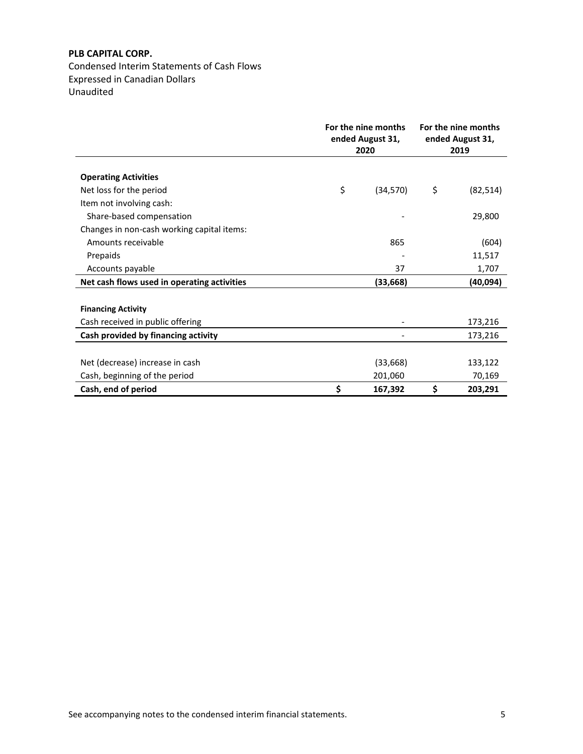Condensed Interim Statements of Cash Flows Expressed in Canadian Dollars Unaudited

|                                             | For the nine months<br>ended August 31,<br>2020 | For the nine months<br>ended August 31,<br>2019 |
|---------------------------------------------|-------------------------------------------------|-------------------------------------------------|
|                                             |                                                 |                                                 |
| <b>Operating Activities</b>                 |                                                 |                                                 |
| Net loss for the period                     | \$<br>(34,570)                                  | \$<br>(82, 514)                                 |
| Item not involving cash:                    |                                                 |                                                 |
| Share-based compensation                    |                                                 | 29,800                                          |
| Changes in non-cash working capital items:  |                                                 |                                                 |
| Amounts receivable                          | 865                                             | (604)                                           |
| Prepaids                                    |                                                 | 11,517                                          |
| Accounts payable                            | 37                                              | 1,707                                           |
| Net cash flows used in operating activities | (33, 668)                                       | (40, 094)                                       |
|                                             |                                                 |                                                 |
| <b>Financing Activity</b>                   |                                                 |                                                 |
| Cash received in public offering            |                                                 | 173,216                                         |
| Cash provided by financing activity         |                                                 | 173,216                                         |
|                                             |                                                 |                                                 |
| Net (decrease) increase in cash             | (33, 668)                                       | 133,122                                         |
| Cash, beginning of the period               | 201,060                                         | 70,169                                          |
| Cash, end of period                         | \$<br>167,392                                   | \$<br>203,291                                   |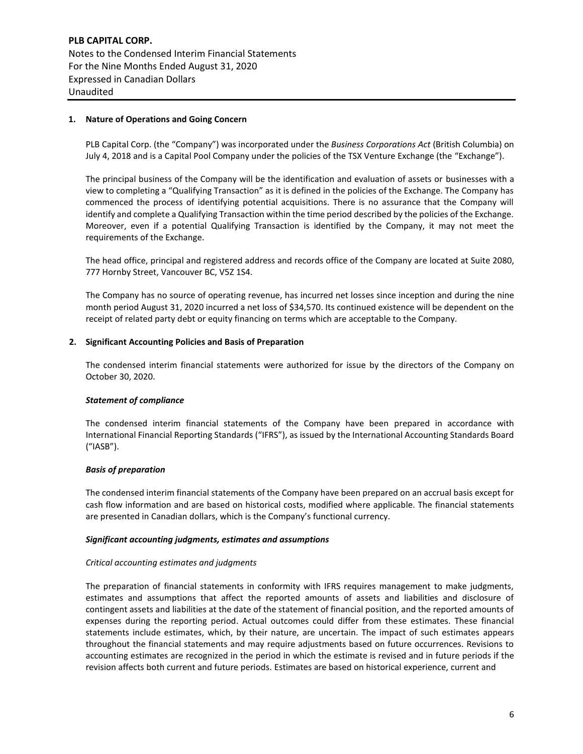**PLB CAPITAL CORP.** Notes to the Condensed Interim Financial Statements For the Nine Months Ended August 31, 2020 Expressed in Canadian Dollars Unaudited

## **1. Nature of Operations and Going Concern**

PLB Capital Corp. (the "Company") was incorporated under the *Business Corporations Act* (British Columbia) on July 4, 2018 and is a Capital Pool Company under the policies of the TSX Venture Exchange (the "Exchange").

The principal business of the Company will be the identification and evaluation of assets or businesses with a view to completing a "Qualifying Transaction" as it is defined in the policies of the Exchange. The Company has commenced the process of identifying potential acquisitions. There is no assurance that the Company will identify and complete a Qualifying Transaction within the time period described by the policies of the Exchange. Moreover, even if a potential Qualifying Transaction is identified by the Company, it may not meet the requirements of the Exchange.

The head office, principal and registered address and records office of the Company are located at Suite 2080, 777 Hornby Street, Vancouver BC, V5Z 1S4.

The Company has no source of operating revenue, has incurred net losses since inception and during the nine month period August 31, 2020 incurred a net loss of \$34,570. Its continued existence will be dependent on the receipt of related party debt or equity financing on terms which are acceptable to the Company.

#### **2. Significant Accounting Policies and Basis of Preparation**

The condensed interim financial statements were authorized for issue by the directors of the Company on October 30, 2020.

#### *Statement of compliance*

The condensed interim financial statements of the Company have been prepared in accordance with International Financial Reporting Standards ("IFRS"), as issued by the International Accounting Standards Board ("IASB").

#### *Basis of preparation*

The condensed interim financial statements of the Company have been prepared on an accrual basis except for cash flow information and are based on historical costs, modified where applicable. The financial statements are presented in Canadian dollars, which is the Company's functional currency.

#### *Significant accounting judgments, estimates and assumptions*

#### *Critical accounting estimates and judgments*

The preparation of financial statements in conformity with IFRS requires management to make judgments, estimates and assumptions that affect the reported amounts of assets and liabilities and disclosure of contingent assets and liabilities at the date of the statement of financial position, and the reported amounts of expenses during the reporting period. Actual outcomes could differ from these estimates. These financial statements include estimates, which, by their nature, are uncertain. The impact of such estimates appears throughout the financial statements and may require adjustments based on future occurrences. Revisions to accounting estimates are recognized in the period in which the estimate is revised and in future periods if the revision affects both current and future periods. Estimates are based on historical experience, current and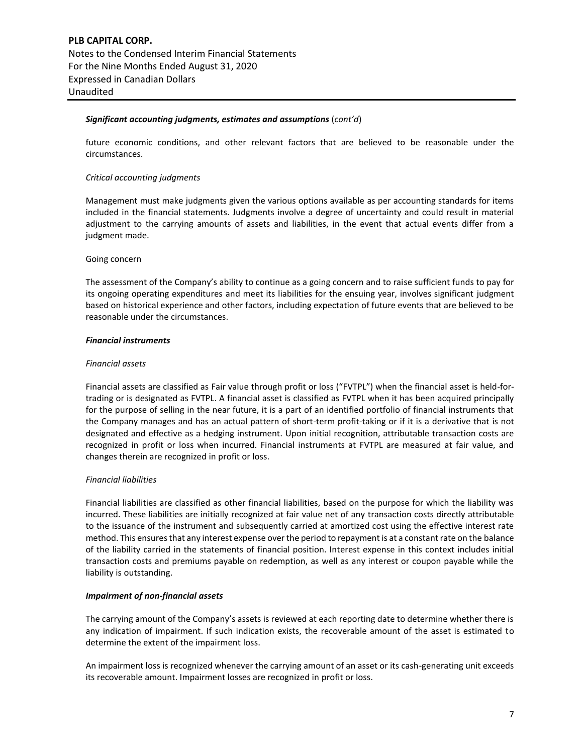#### *Significant accounting judgments, estimates and assumptions* (*cont'd*)

future economic conditions, and other relevant factors that are believed to be reasonable under the circumstances.

#### *Critical accounting judgments*

Management must make judgments given the various options available as per accounting standards for items included in the financial statements. Judgments involve a degree of uncertainty and could result in material adjustment to the carrying amounts of assets and liabilities, in the event that actual events differ from a judgment made.

#### Going concern

The assessment of the Company's ability to continue as a going concern and to raise sufficient funds to pay for its ongoing operating expenditures and meet its liabilities for the ensuing year, involves significant judgment based on historical experience and other factors, including expectation of future events that are believed to be reasonable under the circumstances.

## *Financial instruments*

#### *Financial assets*

Financial assets are classified as Fair value through profit or loss ("FVTPL") when the financial asset is held-fortrading or is designated as FVTPL. A financial asset is classified as FVTPL when it has been acquired principally for the purpose of selling in the near future, it is a part of an identified portfolio of financial instruments that the Company manages and has an actual pattern of short-term profit-taking or if it is a derivative that is not designated and effective as a hedging instrument. Upon initial recognition, attributable transaction costs are recognized in profit or loss when incurred. Financial instruments at FVTPL are measured at fair value, and changes therein are recognized in profit or loss.

# *Financial liabilities*

Financial liabilities are classified as other financial liabilities, based on the purpose for which the liability was incurred. These liabilities are initially recognized at fair value net of any transaction costs directly attributable to the issuance of the instrument and subsequently carried at amortized cost using the effective interest rate method. This ensures that any interest expense over the period to repayment is at a constant rate on the balance of the liability carried in the statements of financial position. Interest expense in this context includes initial transaction costs and premiums payable on redemption, as well as any interest or coupon payable while the liability is outstanding.

# *Impairment of non-financial assets*

The carrying amount of the Company's assets is reviewed at each reporting date to determine whether there is any indication of impairment. If such indication exists, the recoverable amount of the asset is estimated to determine the extent of the impairment loss.

An impairment loss is recognized whenever the carrying amount of an asset or its cash-generating unit exceeds its recoverable amount. Impairment losses are recognized in profit or loss.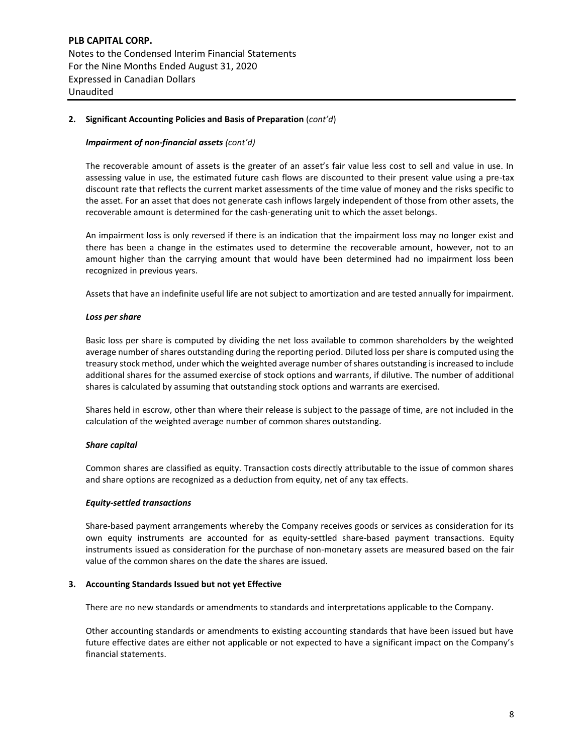**PLB CAPITAL CORP.** Notes to the Condensed Interim Financial Statements For the Nine Months Ended August 31, 2020 Expressed in Canadian Dollars Unaudited

#### **2. Significant Accounting Policies and Basis of Preparation** (*cont'd*)

#### *Impairment of non-financial assets (cont'd)*

The recoverable amount of assets is the greater of an asset's fair value less cost to sell and value in use. In assessing value in use, the estimated future cash flows are discounted to their present value using a pre-tax discount rate that reflects the current market assessments of the time value of money and the risks specific to the asset. For an asset that does not generate cash inflows largely independent of those from other assets, the recoverable amount is determined for the cash-generating unit to which the asset belongs.

An impairment loss is only reversed if there is an indication that the impairment loss may no longer exist and there has been a change in the estimates used to determine the recoverable amount, however, not to an amount higher than the carrying amount that would have been determined had no impairment loss been recognized in previous years.

Assets that have an indefinite useful life are not subject to amortization and are tested annually for impairment.

#### *Loss per share*

Basic loss per share is computed by dividing the net loss available to common shareholders by the weighted average number of shares outstanding during the reporting period. Diluted loss per share is computed using the treasury stock method, under which the weighted average number of shares outstanding is increased to include additional shares for the assumed exercise of stock options and warrants, if dilutive. The number of additional shares is calculated by assuming that outstanding stock options and warrants are exercised.

Shares held in escrow, other than where their release is subject to the passage of time, are not included in the calculation of the weighted average number of common shares outstanding.

#### *Share capital*

Common shares are classified as equity. Transaction costs directly attributable to the issue of common shares and share options are recognized as a deduction from equity, net of any tax effects.

#### *Equity-settled transactions*

Share-based payment arrangements whereby the Company receives goods or services as consideration for its own equity instruments are accounted for as equity-settled share-based payment transactions. Equity instruments issued as consideration for the purchase of non-monetary assets are measured based on the fair value of the common shares on the date the shares are issued.

#### **3. Accounting Standards Issued but not yet Effective**

There are no new standards or amendments to standards and interpretations applicable to the Company.

Other accounting standards or amendments to existing accounting standards that have been issued but have future effective dates are either not applicable or not expected to have a significant impact on the Company's financial statements.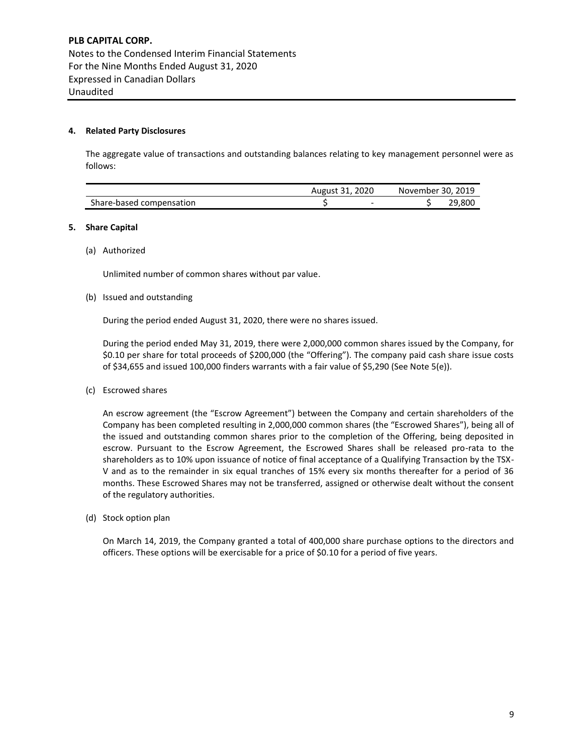#### **4. Related Party Disclosures**

The aggregate value of transactions and outstanding balances relating to key management personnel were as follows:

|                          | August 31, 2020 |                          | November 30, 2019 |        |  |  |
|--------------------------|-----------------|--------------------------|-------------------|--------|--|--|
| Share-based compensation |                 | $\overline{\phantom{0}}$ |                   | 29.800 |  |  |

#### **5. Share Capital**

(a) Authorized

Unlimited number of common shares without par value.

#### (b) Issued and outstanding

During the period ended August 31, 2020, there were no shares issued.

During the period ended May 31, 2019, there were 2,000,000 common shares issued by the Company, for \$0.10 per share for total proceeds of \$200,000 (the "Offering"). The company paid cash share issue costs of \$34,655 and issued 100,000 finders warrants with a fair value of \$5,290 (See Note 5(e)).

(c) Escrowed shares

An escrow agreement (the "Escrow Agreement") between the Company and certain shareholders of the Company has been completed resulting in 2,000,000 common shares (the "Escrowed Shares"), being all of the issued and outstanding common shares prior to the completion of the Offering, being deposited in escrow. Pursuant to the Escrow Agreement, the Escrowed Shares shall be released pro-rata to the shareholders as to 10% upon issuance of notice of final acceptance of a Qualifying Transaction by the TSX-V and as to the remainder in six equal tranches of 15% every six months thereafter for a period of 36 months. These Escrowed Shares may not be transferred, assigned or otherwise dealt without the consent of the regulatory authorities.

(d) Stock option plan

On March 14, 2019, the Company granted a total of 400,000 share purchase options to the directors and officers. These options will be exercisable for a price of \$0.10 for a period of five years.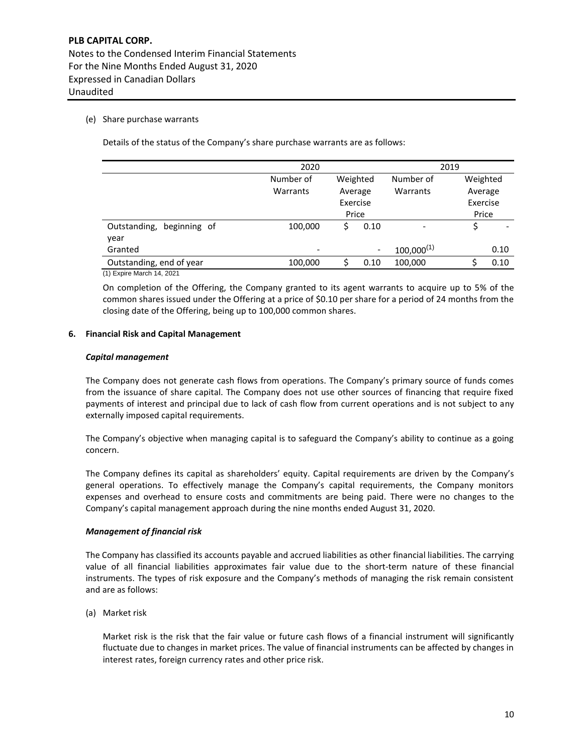# (e) Share purchase warrants

Details of the status of the Company's share purchase warrants are as follows:

|                              | 2020      |          |      | 2019                         |          |      |  |
|------------------------------|-----------|----------|------|------------------------------|----------|------|--|
|                              | Number of | Weighted |      | Number of                    | Weighted |      |  |
|                              | Warrants  | Average  |      | Warrants                     | Average  |      |  |
|                              |           | Exercise |      |                              | Exercise |      |  |
|                              |           | Price    |      |                              | Price    |      |  |
| Outstanding,<br>beginning of | 100,000   | Ś        | 0.10 | $\qquad \qquad \blacksquare$ | \$       |      |  |
| year                         |           |          |      |                              |          |      |  |
| Granted                      |           |          |      | $100,000^{(1)}$              |          | 0.10 |  |
| Outstanding, end of year     | 100,000   |          | 0.10 | 100,000                      |          | 0.10 |  |
| (1) Expire March 14, 2021    |           |          |      |                              |          |      |  |

On completion of the Offering, the Company granted to its agent warrants to acquire up to 5% of the common shares issued under the Offering at a price of \$0.10 per share for a period of 24 months from the closing date of the Offering, being up to 100,000 common shares.

# **6. Financial Risk and Capital Management**

#### *Capital management*

The Company does not generate cash flows from operations. The Company's primary source of funds comes from the issuance of share capital. The Company does not use other sources of financing that require fixed payments of interest and principal due to lack of cash flow from current operations and is not subject to any externally imposed capital requirements.

The Company's objective when managing capital is to safeguard the Company's ability to continue as a going concern.

The Company defines its capital as shareholders' equity. Capital requirements are driven by the Company's general operations. To effectively manage the Company's capital requirements, the Company monitors expenses and overhead to ensure costs and commitments are being paid. There were no changes to the Company's capital management approach during the nine months ended August 31, 2020.

# *Management of financial risk*

The Company has classified its accounts payable and accrued liabilities as other financial liabilities. The carrying value of all financial liabilities approximates fair value due to the short-term nature of these financial instruments. The types of risk exposure and the Company's methods of managing the risk remain consistent and are as follows:

(a) Market risk

Market risk is the risk that the fair value or future cash flows of a financial instrument will significantly fluctuate due to changes in market prices. The value of financial instruments can be affected by changes in interest rates, foreign currency rates and other price risk.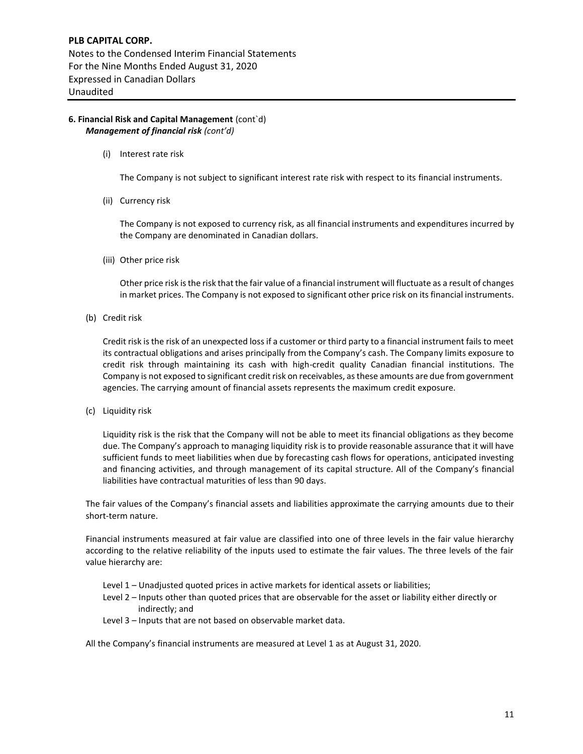# **6. Financial Risk and Capital Management** (cont`d) *Management of financial risk (cont'd)*

(i) Interest rate risk

The Company is not subject to significant interest rate risk with respect to its financial instruments.

(ii) Currency risk

The Company is not exposed to currency risk, as all financial instruments and expenditures incurred by the Company are denominated in Canadian dollars.

(iii) Other price risk

Other price risk is the risk that the fair value of a financial instrument will fluctuate as a result of changes in market prices. The Company is not exposed to significant other price risk on its financial instruments.

(b) Credit risk

Credit risk is the risk of an unexpected loss if a customer or third party to a financial instrument fails to meet its contractual obligations and arises principally from the Company's cash. The Company limits exposure to credit risk through maintaining its cash with high-credit quality Canadian financial institutions. The Company is not exposed to significant credit risk on receivables, as these amounts are due from government agencies. The carrying amount of financial assets represents the maximum credit exposure.

(c) Liquidity risk

Liquidity risk is the risk that the Company will not be able to meet its financial obligations as they become due. The Company's approach to managing liquidity risk is to provide reasonable assurance that it will have sufficient funds to meet liabilities when due by forecasting cash flows for operations, anticipated investing and financing activities, and through management of its capital structure. All of the Company's financial liabilities have contractual maturities of less than 90 days.

The fair values of the Company's financial assets and liabilities approximate the carrying amounts due to their short-term nature.

Financial instruments measured at fair value are classified into one of three levels in the fair value hierarchy according to the relative reliability of the inputs used to estimate the fair values. The three levels of the fair value hierarchy are:

- Level 1 Unadjusted quoted prices in active markets for identical assets or liabilities;
- Level 2 Inputs other than quoted prices that are observable for the asset or liability either directly or indirectly; and
- Level 3 Inputs that are not based on observable market data.

All the Company's financial instruments are measured at Level 1 as at August 31, 2020.